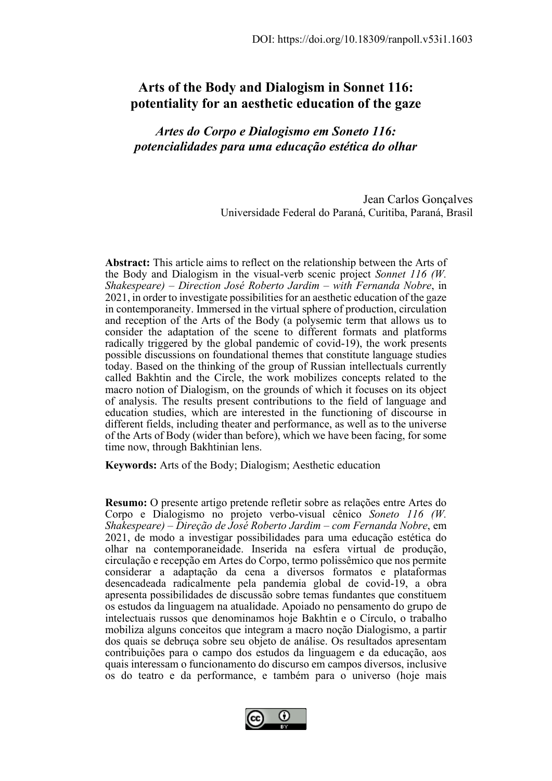# **Arts of the Body and Dialogism in Sonnet 116: potentiality for an aesthetic education of the gaze**

# *Artes do Corpo e Dialogismo em Soneto 116: potencialidades para uma educação estética do olhar*

Jean Carlos Gonçalves Universidade Federal do Paraná, Curitiba, Paraná, Brasil

**Abstract:** This article aims to reflect on the relationship between the Arts of the Body and Dialogism in the visual-verb scenic project *Sonnet 116 (W. Shakespeare) – Direction José Roberto Jardim – with Fernanda Nobre*, in 2021, in order to investigate possibilities for an aesthetic education of the gaze in contemporaneity. Immersed in the virtual sphere of production, circulation and reception of the Arts of the Body (a polysemic term that allows us to consider the adaptation of the scene to different formats and platforms radically triggered by the global pandemic of covid-19), the work presents possible discussions on foundational themes that constitute language studies today. Based on the thinking of the group of Russian intellectuals currently called Bakhtin and the Circle, the work mobilizes concepts related to the macro notion of Dialogism, on the grounds of which it focuses on its object of analysis. The results present contributions to the field of language and education studies, which are interested in the functioning of discourse in different fields, including theater and performance, as well as to the universe of the Arts of Body (wider than before), which we have been facing, for some time now, through Bakhtinian lens.

**Keywords:** Arts of the Body; Dialogism; Aesthetic education

**Resumo:** O presente artigo pretende refletir sobre as relações entre Artes do Corpo e Dialogismo no projeto verbo-visual cênico *Soneto 116 (W. Shakespeare) – Direção de José Roberto Jardim – com Fernanda Nobre*, em 2021, de modo a investigar possibilidades para uma educação estética do olhar na contemporaneidade. Inserida na esfera virtual de produção, circulação e recepção em Artes do Corpo, termo polissêmico que nos permite considerar a adaptação da cena a diversos formatos e plataformas desencadeada radicalmente pela pandemia global de covid-19, a obra apresenta possibilidades de discussão sobre temas fundantes que constituem os estudos da linguagem na atualidade. Apoiado no pensamento do grupo de intelectuais russos que denominamos hoje Bakhtin e o Círculo, o trabalho mobiliza alguns conceitos que integram a macro noção Dialogismo, a partir dos quais se debruça sobre seu objeto de análise. Os resultados apresentam contribuições para o campo dos estudos da linguagem e da educação, aos quais interessam o funcionamento do discurso em campos diversos, inclusive os do teatro e da performance, e também para o universo (hoje mais

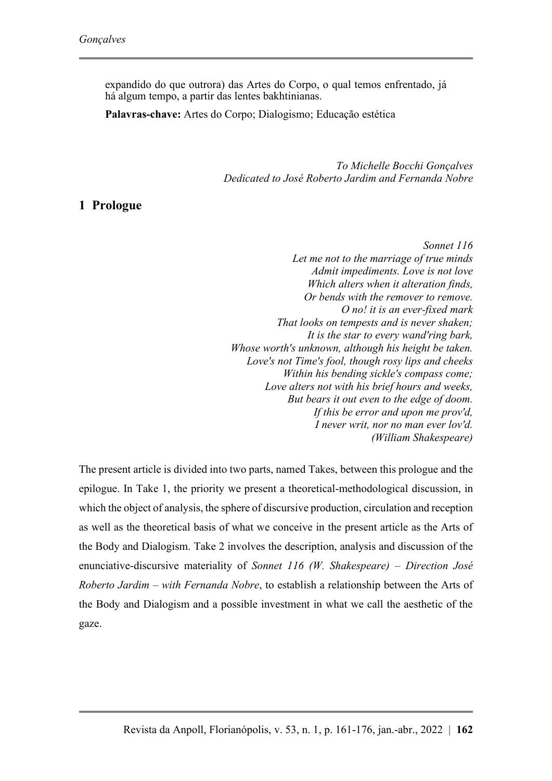expandido do que outrora) das Artes do Corpo, o qual temos enfrentado, já há algum tempo, a partir das lentes bakhtinianas.

**Palavras-chave:** Artes do Corpo; Dialogismo; Educação estética

*To Michelle Bocchi Gonçalves Dedicated to José Roberto Jardim and Fernanda Nobre*

### **1 Prologue**

*Sonnet 116 Let me not to the marriage of true minds Admit impediments. Love is not love Which alters when it alteration finds, Or bends with the remover to remove. O no! it is an ever-fixed mark That looks on tempests and is never shaken; It is the star to every wand'ring bark, Whose worth's unknown, although his height be taken. Love's not Time's fool, though rosy lips and cheeks Within his bending sickle's compass come; Love alters not with his brief hours and weeks, But bears it out even to the edge of doom. If this be error and upon me prov'd, I never writ, nor no man ever lov'd. (William Shakespeare)*

The present article is divided into two parts, named Takes, between this prologue and the epilogue. In Take 1, the priority we present a theoretical-methodological discussion, in which the object of analysis, the sphere of discursive production, circulation and reception as well as the theoretical basis of what we conceive in the present article as the Arts of the Body and Dialogism. Take 2 involves the description, analysis and discussion of the enunciative-discursive materiality of *Sonnet 116 (W. Shakespeare) – Direction José Roberto Jardim – with Fernanda Nobre*, to establish a relationship between the Arts of the Body and Dialogism and a possible investment in what we call the aesthetic of the gaze.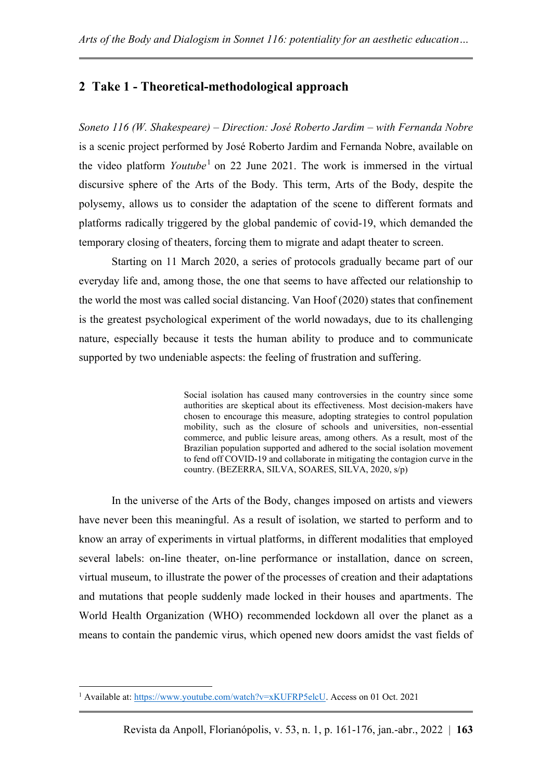# **2 Take 1 - Theoretical-methodological approach**

*Soneto 116 (W. Shakespeare) – Direction: José Roberto Jardim – with Fernanda Nobre* is a scenic project performed by José Roberto Jardim and Fernanda Nobre, available on the video platform *Youtube*<sup>1</sup> on 22 June 2021. The work is immersed in the virtual discursive sphere of the Arts of the Body. This term, Arts of the Body, despite the polysemy, allows us to consider the adaptation of the scene to different formats and platforms radically triggered by the global pandemic of covid-19, which demanded the temporary closing of theaters, forcing them to migrate and adapt theater to screen.

Starting on 11 March 2020, a series of protocols gradually became part of our everyday life and, among those, the one that seems to have affected our relationship to the world the most was called social distancing. Van Hoof (2020) states that confinement is the greatest psychological experiment of the world nowadays, due to its challenging nature, especially because it tests the human ability to produce and to communicate supported by two undeniable aspects: the feeling of frustration and suffering.

> Social isolation has caused many controversies in the country since some authorities are skeptical about its effectiveness. Most decision-makers have chosen to encourage this measure, adopting strategies to control population mobility, such as the closure of schools and universities, non-essential commerce, and public leisure areas, among others. As a result, most of the Brazilian population supported and adhered to the social isolation movement to fend off COVID-19 and collaborate in mitigating the contagion curve in the country. (BEZERRA, SILVA, SOARES, SILVA, 2020, s/p)

In the universe of the Arts of the Body, changes imposed on artists and viewers have never been this meaningful. As a result of isolation, we started to perform and to know an array of experiments in virtual platforms, in different modalities that employed several labels: on-line theater, on-line performance or installation, dance on screen, virtual museum, to illustrate the power of the processes of creation and their adaptations and mutations that people suddenly made locked in their houses and apartments. The World Health Organization (WHO) recommended lockdown all over the planet as a means to contain the pandemic virus, which opened new doors amidst the vast fields of

<sup>&</sup>lt;sup>1</sup> Available at[: https://www.youtube.com/watch?v=xKUFRP5elcU.](https://www.youtube.com/watch?v=xKUFRP5elcU) Access on 01 Oct. 2021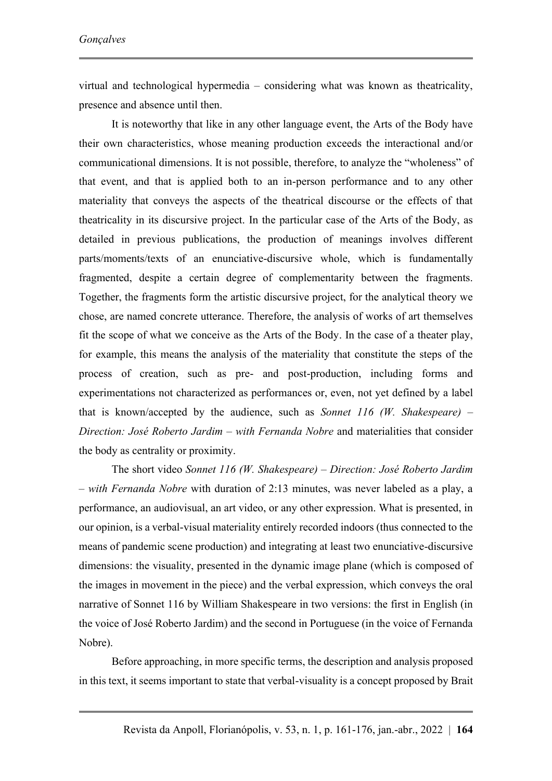virtual and technological hypermedia – considering what was known as theatricality, presence and absence until then.

It is noteworthy that like in any other language event, the Arts of the Body have their own characteristics, whose meaning production exceeds the interactional and/or communicational dimensions. It is not possible, therefore, to analyze the "wholeness" of that event, and that is applied both to an in-person performance and to any other materiality that conveys the aspects of the theatrical discourse or the effects of that theatricality in its discursive project. In the particular case of the Arts of the Body, as detailed in previous publications, the production of meanings involves different parts/moments/texts of an enunciative-discursive whole, which is fundamentally fragmented, despite a certain degree of complementarity between the fragments. Together, the fragments form the artistic discursive project, for the analytical theory we chose, are named concrete utterance. Therefore, the analysis of works of art themselves fit the scope of what we conceive as the Arts of the Body. In the case of a theater play, for example, this means the analysis of the materiality that constitute the steps of the process of creation, such as pre- and post-production, including forms and experimentations not characterized as performances or, even, not yet defined by a label that is known/accepted by the audience, such as *Sonnet 116 (W. Shakespeare) – Direction: José Roberto Jardim – with Fernanda Nobre* and materialities that consider the body as centrality or proximity.

The short video *Sonnet 116 (W. Shakespeare) – Direction: José Roberto Jardim – with Fernanda Nobre* with duration of 2:13 minutes, was never labeled as a play, a performance, an audiovisual, an art video, or any other expression. What is presented, in our opinion, is a verbal-visual materiality entirely recorded indoors (thus connected to the means of pandemic scene production) and integrating at least two enunciative-discursive dimensions: the visuality, presented in the dynamic image plane (which is composed of the images in movement in the piece) and the verbal expression, which conveys the oral narrative of Sonnet 116 by William Shakespeare in two versions: the first in English (in the voice of José Roberto Jardim) and the second in Portuguese (in the voice of Fernanda Nobre).

Before approaching, in more specific terms, the description and analysis proposed in this text, it seems important to state that verbal-visuality is a concept proposed by Brait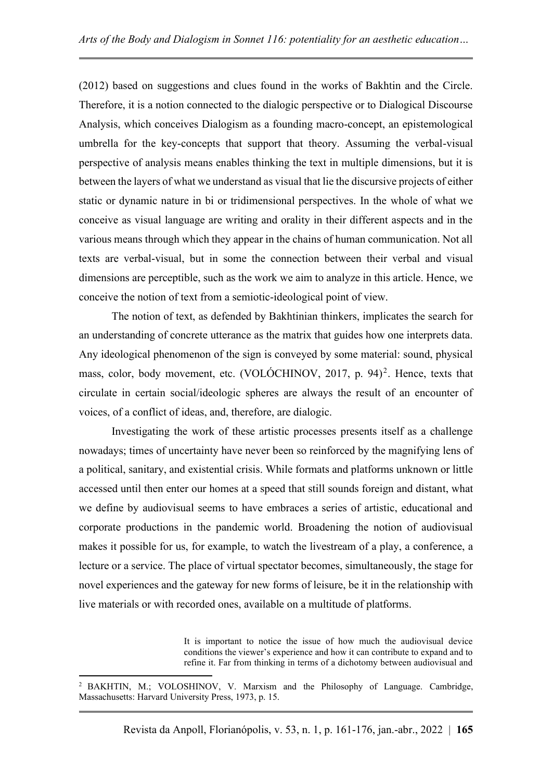(2012) based on suggestions and clues found in the works of Bakhtin and the Circle. Therefore, it is a notion connected to the dialogic perspective or to Dialogical Discourse Analysis, which conceives Dialogism as a founding macro-concept, an epistemological umbrella for the key-concepts that support that theory. Assuming the verbal-visual perspective of analysis means enables thinking the text in multiple dimensions, but it is between the layers of what we understand as visual that lie the discursive projects of either static or dynamic nature in bi or tridimensional perspectives. In the whole of what we conceive as visual language are writing and orality in their different aspects and in the various means through which they appear in the chains of human communication. Not all texts are verbal-visual, but in some the connection between their verbal and visual dimensions are perceptible, such as the work we aim to analyze in this article. Hence, we conceive the notion of text from a semiotic-ideological point of view.

The notion of text, as defended by Bakhtinian thinkers, implicates the search for an understanding of concrete utterance as the matrix that guides how one interprets data. Any ideological phenomenon of the sign is conveyed by some material: sound, physical mass, color, body movement, etc. (VOLÓCHINOV, 2017, p. 94)<sup>2</sup>. Hence, texts that circulate in certain social/ideologic spheres are always the result of an encounter of voices, of a conflict of ideas, and, therefore, are dialogic.

Investigating the work of these artistic processes presents itself as a challenge nowadays; times of uncertainty have never been so reinforced by the magnifying lens of a political, sanitary, and existential crisis. While formats and platforms unknown or little accessed until then enter our homes at a speed that still sounds foreign and distant, what we define by audiovisual seems to have embraces a series of artistic, educational and corporate productions in the pandemic world. Broadening the notion of audiovisual makes it possible for us, for example, to watch the livestream of a play, a conference, a lecture or a service. The place of virtual spectator becomes, simultaneously, the stage for novel experiences and the gateway for new forms of leisure, be it in the relationship with live materials or with recorded ones, available on a multitude of platforms.

> It is important to notice the issue of how much the audiovisual device conditions the viewer's experience and how it can contribute to expand and to refine it. Far from thinking in terms of a dichotomy between audiovisual and

<sup>2</sup> BAKHTIN, M.; VOLOSHINOV, V. Marxism and the Philosophy of Language. Cambridge, Massachusetts: Harvard University Press, 1973, p. 15.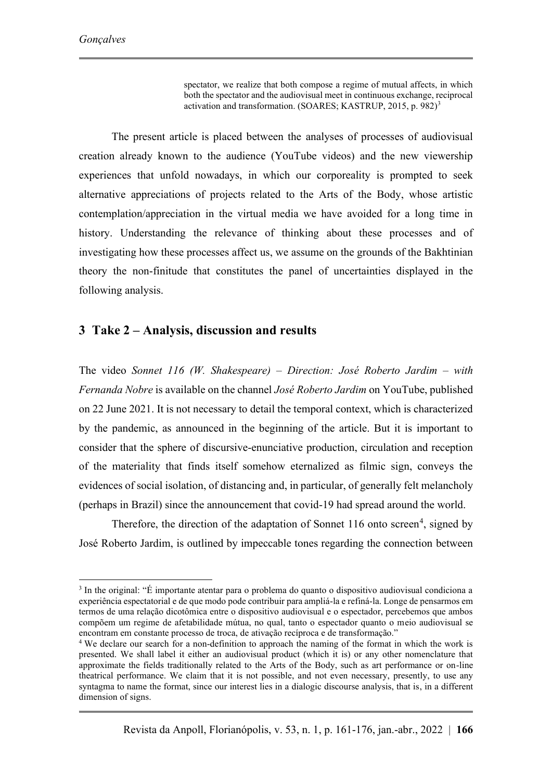spectator, we realize that both compose a regime of mutual affects, in which both the spectator and the audiovisual meet in continuous exchange, reciprocal activation and transformation. (SOARES; KASTRUP, 2015, p. 982)<sup>3</sup>

The present article is placed between the analyses of processes of audiovisual creation already known to the audience (YouTube videos) and the new viewership experiences that unfold nowadays, in which our corporeality is prompted to seek alternative appreciations of projects related to the Arts of the Body, whose artistic contemplation/appreciation in the virtual media we have avoided for a long time in history. Understanding the relevance of thinking about these processes and of investigating how these processes affect us, we assume on the grounds of the Bakhtinian theory the non-finitude that constitutes the panel of uncertainties displayed in the following analysis.

### **3 Take 2 – Analysis, discussion and results**

The video *Sonnet 116 (W. Shakespeare) – Direction: José Roberto Jardim – with Fernanda Nobre* is available on the channel *José Roberto Jardim* on YouTube, published on 22 June 2021. It is not necessary to detail the temporal context, which is characterized by the pandemic, as announced in the beginning of the article. But it is important to consider that the sphere of discursive-enunciative production, circulation and reception of the materiality that finds itself somehow eternalized as filmic sign, conveys the evidences of social isolation, of distancing and, in particular, of generally felt melancholy (perhaps in Brazil) since the announcement that covid-19 had spread around the world.

Therefore, the direction of the adaptation of Sonnet 116 onto screen<sup>4</sup>, signed by José Roberto Jardim, is outlined by impeccable tones regarding the connection between

<sup>&</sup>lt;sup>3</sup> In the original: "É importante atentar para o problema do quanto o dispositivo audiovisual condiciona a experiência espectatorial e de que modo pode contribuir para ampliá-la e refiná-la. Longe de pensarmos em termos de uma relação dicotômica entre o dispositivo audiovisual e o espectador, percebemos que ambos compõem um regime de afetabilidade mútua, no qual, tanto o espectador quanto o meio audiovisual se encontram em constante processo de troca, de ativação recíproca e de transformação."

<sup>4</sup> We declare our search for a non-definition to approach the naming of the format in which the work is presented. We shall label it either an audiovisual product (which it is) or any other nomenclature that approximate the fields traditionally related to the Arts of the Body, such as art performance or on-line theatrical performance. We claim that it is not possible, and not even necessary, presently, to use any syntagma to name the format, since our interest lies in a dialogic discourse analysis, that is, in a different dimension of signs.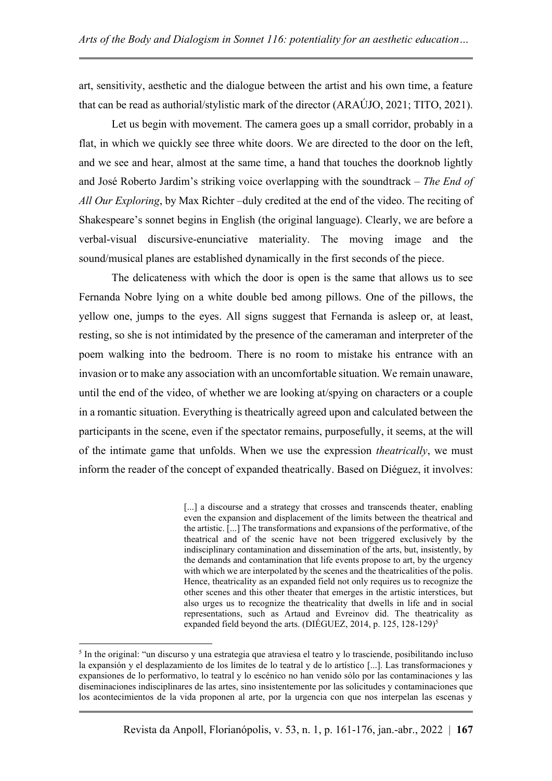art, sensitivity, aesthetic and the dialogue between the artist and his own time, a feature that can be read as authorial/stylistic mark of the director (ARAÚJO, 2021; TITO, 2021).

Let us begin with movement. The camera goes up a small corridor, probably in a flat, in which we quickly see three white doors. We are directed to the door on the left, and we see and hear, almost at the same time, a hand that touches the doorknob lightly and José Roberto Jardim's striking voice overlapping with the soundtrack – *The End of All Our Exploring*, by Max Richter –duly credited at the end of the video. The reciting of Shakespeare's sonnet begins in English (the original language). Clearly, we are before a verbal-visual discursive-enunciative materiality. The moving image and the sound/musical planes are established dynamically in the first seconds of the piece.

The delicateness with which the door is open is the same that allows us to see Fernanda Nobre lying on a white double bed among pillows. One of the pillows, the yellow one, jumps to the eyes. All signs suggest that Fernanda is asleep or, at least, resting, so she is not intimidated by the presence of the cameraman and interpreter of the poem walking into the bedroom. There is no room to mistake his entrance with an invasion or to make any association with an uncomfortable situation. We remain unaware, until the end of the video, of whether we are looking at/spying on characters or a couple in a romantic situation. Everything is theatrically agreed upon and calculated between the participants in the scene, even if the spectator remains, purposefully, it seems, at the will of the intimate game that unfolds. When we use the expression *theatrically*, we must inform the reader of the concept of expanded theatrically. Based on Diéguez, it involves:

> [...] a discourse and a strategy that crosses and transcends theater, enabling even the expansion and displacement of the limits between the theatrical and the artistic. [...] The transformations and expansions of the performative, of the theatrical and of the scenic have not been triggered exclusively by the indisciplinary contamination and dissemination of the arts, but, insistently, by the demands and contamination that life events propose to art, by the urgency with which we are interpolated by the scenes and the theatricalities of the polis. Hence, theatricality as an expanded field not only requires us to recognize the other scenes and this other theater that emerges in the artistic interstices, but also urges us to recognize the theatricality that dwells in life and in social representations, such as Artaud and Evreinov did. The theatricality as expanded field beyond the arts. (DIÉGUEZ, 2014, p. 125, 128-129)<sup>5</sup>

<sup>&</sup>lt;sup>5</sup> In the original: "un discurso y una estrategia que atraviesa el teatro y lo trasciende, posibilitando incluso la expansión y el desplazamiento de los límites de lo teatral y de lo artístico [...]. Las transformaciones y expansiones de lo performativo, lo teatral y lo escénico no han venido sólo por las contaminaciones y las diseminaciones indisciplinares de las artes, sino insistentemente por las solicitudes y contaminaciones que los acontecimientos de la vida proponen al arte, por la urgencia con que nos interpelan las escenas y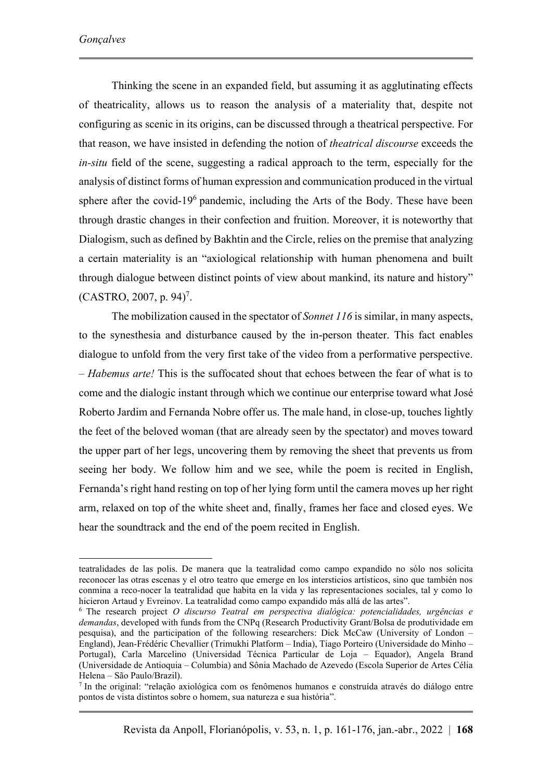Thinking the scene in an expanded field, but assuming it as agglutinating effects of theatricality, allows us to reason the analysis of a materiality that, despite not configuring as scenic in its origins, can be discussed through a theatrical perspective. For that reason, we have insisted in defending the notion of *theatrical discourse* exceeds the *in-situ* field of the scene, suggesting a radical approach to the term, especially for the analysis of distinct forms of human expression and communication produced in the virtual sphere after the covid-19<sup>6</sup> pandemic, including the Arts of the Body. These have been through drastic changes in their confection and fruition. Moreover, it is noteworthy that Dialogism, such as defined by Bakhtin and the Circle, relies on the premise that analyzing a certain materiality is an "axiological relationship with human phenomena and built through dialogue between distinct points of view about mankind, its nature and history"  $(CASTRO, 2007, p. 94)^7$ .

The mobilization caused in the spectator of *Sonnet 116* is similar, in many aspects, to the synesthesia and disturbance caused by the in-person theater. This fact enables dialogue to unfold from the very first take of the video from a performative perspective. – *Habemus arte!* This is the suffocated shout that echoes between the fear of what is to come and the dialogic instant through which we continue our enterprise toward what José Roberto Jardim and Fernanda Nobre offer us. The male hand, in close-up, touches lightly the feet of the beloved woman (that are already seen by the spectator) and moves toward the upper part of her legs, uncovering them by removing the sheet that prevents us from seeing her body. We follow him and we see, while the poem is recited in English, Fernanda's right hand resting on top of her lying form until the camera moves up her right arm, relaxed on top of the white sheet and, finally, frames her face and closed eyes. We hear the soundtrack and the end of the poem recited in English.

teatralidades de las polis. De manera que la teatralidad como campo expandido no sólo nos solicita reconocer las otras escenas y el otro teatro que emerge en los intersticios artísticos, sino que también nos conmina a reco-nocer la teatralidad que habita en la vida y las representaciones sociales, tal y como lo hicieron Artaud y Evreinov. La teatralidad como campo expandido más allá de las artes".

<sup>6</sup> The research project *O discurso Teatral em perspectiva dialógica: potencialidades, urgências e demandas*, developed with funds from the CNPq (Research Productivity Grant/Bolsa de produtividade em pesquisa), and the participation of the following researchers: Dick McCaw (University of London – England), Jean-Frédéric Chevallier (Trimukhi Platform – India), Tiago Porteiro (Universidade do Minho – Portugal), Carla Marcelino (Universidad Técnica Particular de Loja – Equador), Angela Brand (Universidade de Antioquia – Columbia) and Sônia Machado de Azevedo (Escola Superior de Artes Célia Helena – São Paulo/Brazil).

<sup>7</sup> In the original: "relação axiológica com os fenômenos humanos e construída através do diálogo entre pontos de vista distintos sobre o homem, sua natureza e sua história".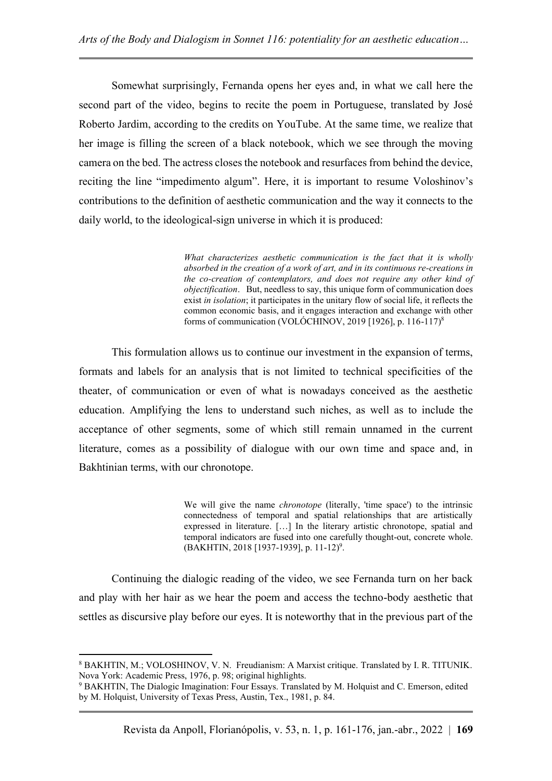Somewhat surprisingly, Fernanda opens her eyes and, in what we call here the second part of the video, begins to recite the poem in Portuguese, translated by José Roberto Jardim, according to the credits on YouTube. At the same time, we realize that her image is filling the screen of a black notebook, which we see through the moving camera on the bed. The actress closes the notebook and resurfaces from behind the device, reciting the line "impedimento algum". Here, it is important to resume Voloshinov's contributions to the definition of aesthetic communication and the way it connects to the daily world, to the ideological-sign universe in which it is produced:

> *What characterizes aesthetic communication is the fact that it is wholly absorbed in the creation of a work of art, and in its continuous re-creations in the co-creation of contemplators, and does not require any other kind of objectification*. But, needless to say, this unique form of communication does exist *in isolation*; it participates in the unitary flow of social life, it reflects the common economic basis, and it engages interaction and exchange with other forms of communication (VOLÓCHINOV, 2019 [1926], p. 116-117)<sup>8</sup>

This formulation allows us to continue our investment in the expansion of terms, formats and labels for an analysis that is not limited to technical specificities of the theater, of communication or even of what is nowadays conceived as the aesthetic education. Amplifying the lens to understand such niches, as well as to include the acceptance of other segments, some of which still remain unnamed in the current literature, comes as a possibility of dialogue with our own time and space and, in Bakhtinian terms, with our chronotope.

> We will give the name *chronotope* (literally, 'time space') to the intrinsic connectedness of temporal and spatial relationships that are artistically expressed in literature. […] In the literary artistic chronotope, spatial and temporal indicators are fused into one carefully thought-out, concrete whole. (BAKHTIN, 2018 [1937-1939], p. 11-12)<sup>9</sup>.

Continuing the dialogic reading of the video, we see Fernanda turn on her back and play with her hair as we hear the poem and access the techno-body aesthetic that settles as discursive play before our eyes. It is noteworthy that in the previous part of the

<sup>8</sup> BAKHTIN, M.; VOLOSHINOV, V. N. Freudianism: A Marxist critique. Translated by I. R. TITUNIK. Nova York: Academic Press, 1976, p. 98; original highlights.

<sup>9</sup> BAKHTIN, The Dialogic Imagination: Four Essays. Translated by M. Holquist and C. Emerson, edited by M. Holquist, University of Texas Press, Austin, Tex., 1981, p. 84.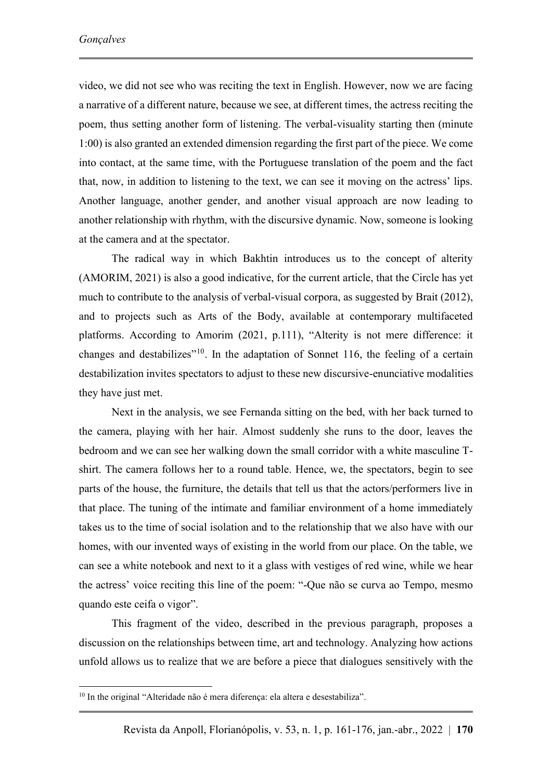video, we did not see who was reciting the text in English. However, now we are facing a narrative of a different nature, because we see, at different times, the actress reciting the poem, thus setting another form of listening. The verbal-visuality starting then (minute 1:00) is also granted an extended dimension regarding the first part of the piece. We come into contact, at the same time, with the Portuguese translation of the poem and the fact that, now, in addition to listening to the text, we can see it moving on the actress' lips. Another language, another gender, and another visual approach are now leading to another relationship with rhythm, with the discursive dynamic. Now, someone is looking at the camera and at the spectator.

The radical way in which Bakhtin introduces us to the concept of alterity (AMORIM, 2021) is also a good indicative, for the current article, that the Circle has yet much to contribute to the analysis of verbal-visual corpora, as suggested by Brait (2012), and to projects such as Arts of the Body, available at contemporary multifaceted platforms. According to Amorim (2021, p.111), "Alterity is not mere difference: it changes and destabilizes<sup> $10$ </sup>. In the adaptation of Sonnet 116, the feeling of a certain destabilization invites spectators to adjust to these new discursive-enunciative modalities they have just met.

Next in the analysis, we see Fernanda sitting on the bed, with her back turned to the camera, playing with her hair. Almost suddenly she runs to the door, leaves the bedroom and we can see her walking down the small corridor with a white masculine Tshirt. The camera follows her to a round table. Hence, we, the spectators, begin to see parts of the house, the furniture, the details that tell us that the actors/performers live in that place. The tuning of the intimate and familiar environment of a home immediately takes us to the time of social isolation and to the relationship that we also have with our homes, with our invented ways of existing in the world from our place. On the table, we can see a white notebook and next to it a glass with vestiges of red wine, while we hear the actress' voice reciting this line of the poem: "-Que não se curva ao Tempo, mesmo quando este ceifa o vigor".

This fragment of the video, described in the previous paragraph, proposes a discussion on the relationships between time, art and technology. Analyzing how actions unfold allows us to realize that we are before a piece that dialogues sensitively with the

<sup>10</sup> In the original "Alteridade não é mera diferença: ela altera e desestabiliza".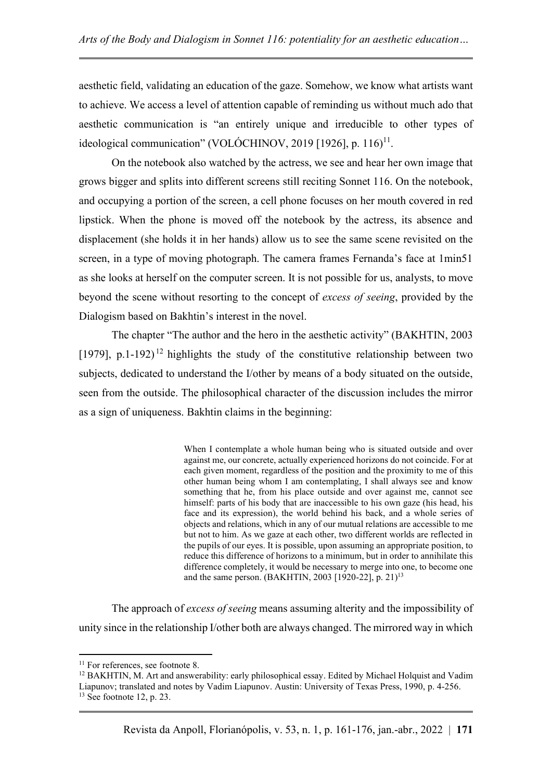aesthetic field, validating an education of the gaze. Somehow, we know what artists want to achieve. We access a level of attention capable of reminding us without much ado that aesthetic communication is "an entirely unique and irreducible to other types of ideological communication" (VOLÓCHINOV, 2019 [1926], p. 116)<sup>11</sup>.

On the notebook also watched by the actress, we see and hear her own image that grows bigger and splits into different screens still reciting Sonnet 116. On the notebook, and occupying a portion of the screen, a cell phone focuses on her mouth covered in red lipstick. When the phone is moved off the notebook by the actress, its absence and displacement (she holds it in her hands) allow us to see the same scene revisited on the screen, in a type of moving photograph. The camera frames Fernanda's face at 1min51 as she looks at herself on the computer screen. It is not possible for us, analysts, to move beyond the scene without resorting to the concept of *excess of seeing*, provided by the Dialogism based on Bakhtin's interest in the novel.

The chapter "The author and the hero in the aesthetic activity" (BAKHTIN, 2003 [1979], p.1-192)<sup>12</sup> highlights the study of the constitutive relationship between two subjects, dedicated to understand the I/other by means of a body situated on the outside, seen from the outside. The philosophical character of the discussion includes the mirror as a sign of uniqueness. Bakhtin claims in the beginning:

> When I contemplate a whole human being who is situated outside and over against me, our concrete, actually experienced horizons do not coincide. For at each given moment, regardless of the position and the proximity to me of this other human being whom I am contemplating, I shall always see and know something that he, from his place outside and over against me, cannot see himself: parts of his body that are inaccessible to his own gaze (his head, his face and its expression), the world behind his back, and a whole series of objects and relations, which in any of our mutual relations are accessible to me but not to him. As we gaze at each other, two different worlds are reflected in the pupils of our eyes. It is possible, upon assuming an appropriate position, to reduce this difference of horizons to a minimum, but in order to annihilate this difference completely, it would be necessary to merge into one, to become one and the same person. (BAKHTIN, 2003 [1920-22], p. 21)<sup>13</sup>

The approach of *excess of seeing* means assuming alterity and the impossibility of unity since in the relationship I/other both are always changed. The mirrored way in which

<sup>&</sup>lt;sup>11</sup> For references, see footnote 8.

<sup>&</sup>lt;sup>12</sup> BAKHTIN, M. Art and answerability: early philosophical essay. Edited by Michael Holquist and Vadim Liapunov; translated and notes by Vadim Liapunov. Austin: University of Texas Press, 1990, p. 4-256.  $13$  See footnote 12, p. 23.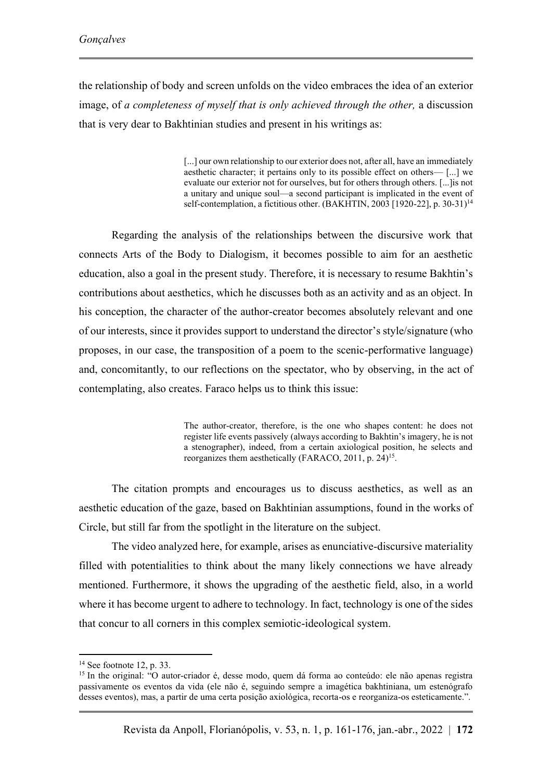the relationship of body and screen unfolds on the video embraces the idea of an exterior image, of *a completeness of myself that is only achieved through the other,* a discussion that is very dear to Bakhtinian studies and present in his writings as:

> [...] our own relationship to our exterior does not, after all, have an immediately aesthetic character; it pertains only to its possible effect on others— [...] we evaluate our exterior not for ourselves, but for others through others. [...]is not a unitary and unique soul—a second participant is implicated in the event of self-contemplation, a fictitious other. (BAKHTIN, 2003 [1920-22], p. 30-31)<sup>14</sup>

Regarding the analysis of the relationships between the discursive work that connects Arts of the Body to Dialogism, it becomes possible to aim for an aesthetic education, also a goal in the present study. Therefore, it is necessary to resume Bakhtin's contributions about aesthetics, which he discusses both as an activity and as an object. In his conception, the character of the author-creator becomes absolutely relevant and one of our interests, since it provides support to understand the director's style/signature (who proposes, in our case, the transposition of a poem to the scenic-performative language) and, concomitantly, to our reflections on the spectator, who by observing, in the act of contemplating, also creates. Faraco helps us to think this issue:

> The author-creator, therefore, is the one who shapes content: he does not register life events passively (always according to Bakhtin's imagery, he is not a stenographer), indeed, from a certain axiological position, he selects and reorganizes them aesthetically (FARACO, 2011, p. 24)<sup>15</sup>.

The citation prompts and encourages us to discuss aesthetics, as well as an aesthetic education of the gaze, based on Bakhtinian assumptions, found in the works of Circle, but still far from the spotlight in the literature on the subject.

The video analyzed here, for example, arises as enunciative-discursive materiality filled with potentialities to think about the many likely connections we have already mentioned. Furthermore, it shows the upgrading of the aesthetic field, also, in a world where it has become urgent to adhere to technology. In fact, technology is one of the sides that concur to all corners in this complex semiotic-ideological system.

 $14$  See footnote 12, p. 33.

<sup>&</sup>lt;sup>15</sup> In the original: "O autor-criador é, desse modo, quem dá forma ao conteúdo: ele não apenas registra passivamente os eventos da vida (ele não é, seguindo sempre a imagética bakhtiniana, um estenógrafo desses eventos), mas, a partir de uma certa posição axiológica, recorta-os e reorganiza-os esteticamente.".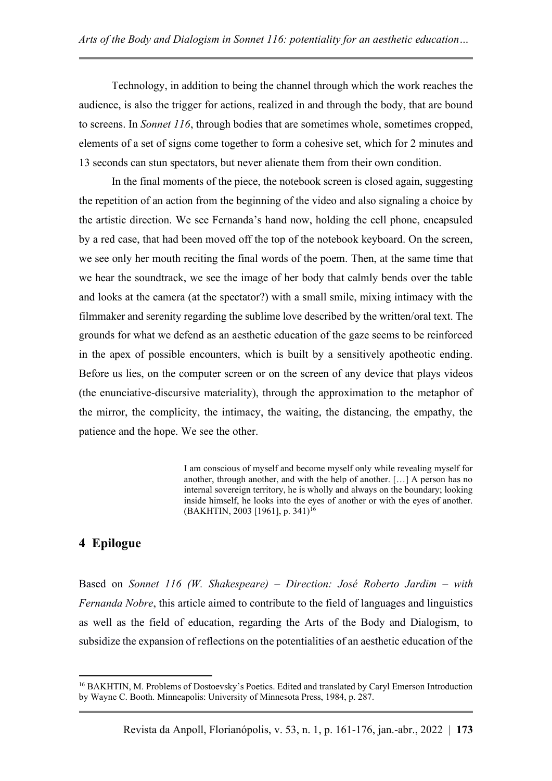Technology, in addition to being the channel through which the work reaches the audience, is also the trigger for actions, realized in and through the body, that are bound to screens. In *Sonnet 116*, through bodies that are sometimes whole, sometimes cropped, elements of a set of signs come together to form a cohesive set, which for 2 minutes and 13 seconds can stun spectators, but never alienate them from their own condition.

In the final moments of the piece, the notebook screen is closed again, suggesting the repetition of an action from the beginning of the video and also signaling a choice by the artistic direction. We see Fernanda's hand now, holding the cell phone, encapsuled by a red case, that had been moved off the top of the notebook keyboard. On the screen, we see only her mouth reciting the final words of the poem. Then, at the same time that we hear the soundtrack, we see the image of her body that calmly bends over the table and looks at the camera (at the spectator?) with a small smile, mixing intimacy with the filmmaker and serenity regarding the sublime love described by the written/oral text. The grounds for what we defend as an aesthetic education of the gaze seems to be reinforced in the apex of possible encounters, which is built by a sensitively apotheotic ending. Before us lies, on the computer screen or on the screen of any device that plays videos (the enunciative-discursive materiality), through the approximation to the metaphor of the mirror, the complicity, the intimacy, the waiting, the distancing, the empathy, the patience and the hope. We see the other.

> I am conscious of myself and become myself only while revealing myself for another, through another, and with the help of another. […] A person has no internal sovereign territory, he is wholly and always on the boundary; looking inside himself, he looks into the eyes of another or with the eyes of another. (BAKHTIN, 2003 [1961], p. 341)<sup>16</sup>

# **4 Epilogue**

Based on *Sonnet 116 (W. Shakespeare) – Direction: José Roberto Jardim – with Fernanda Nobre*, this article aimed to contribute to the field of languages and linguistics as well as the field of education, regarding the Arts of the Body and Dialogism, to subsidize the expansion of reflections on the potentialities of an aesthetic education of the

<sup>16</sup> BAKHTIN, M. Problems of Dostoevsky's Poetics. Edited and translated by Caryl Emerson Introduction by Wayne C. Booth. Minneapolis: University of Minnesota Press, 1984, p. 287.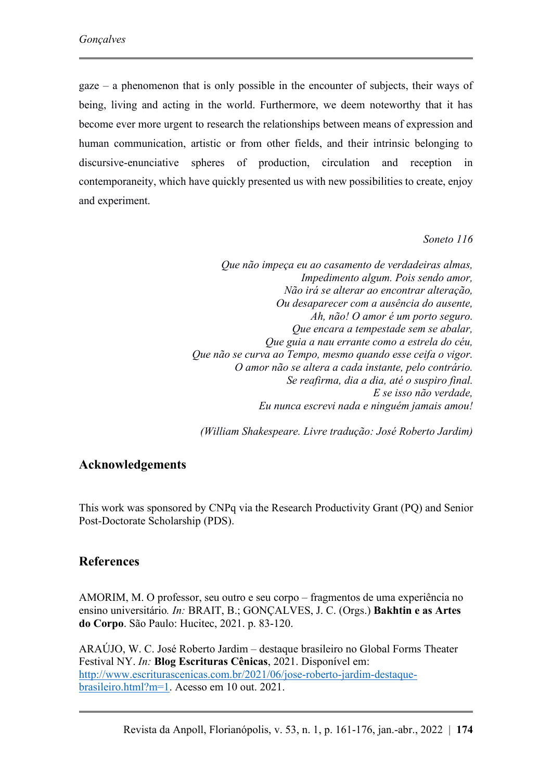gaze – a phenomenon that is only possible in the encounter of subjects, their ways of being, living and acting in the world. Furthermore, we deem noteworthy that it has become ever more urgent to research the relationships between means of expression and human communication, artistic or from other fields, and their intrinsic belonging to discursive-enunciative spheres of production, circulation and reception in contemporaneity, which have quickly presented us with new possibilities to create, enjoy and experiment.

#### *Soneto 116*

*Que não impeça eu ao casamento de verdadeiras almas, Impedimento algum. Pois sendo amor, Não irá se alterar ao encontrar alteração, Ou desaparecer com a ausência do ausente, Ah, não! O amor é um porto seguro. Que encara a tempestade sem se abalar, Que guia a nau errante como a estrela do céu, Que não se curva ao Tempo, mesmo quando esse ceifa o vigor. O amor não se altera a cada instante, pelo contrário. Se reafirma, dia a dia, até o suspiro final. E se isso não verdade, Eu nunca escrevi nada e ninguém jamais amou!*

*(William Shakespeare. Livre tradução: José Roberto Jardim)*

# **Acknowledgements**

This work was sponsored by CNPq via the Research Productivity Grant (PQ) and Senior Post-Doctorate Scholarship (PDS).

# **References**

AMORIM, M. O professor, seu outro e seu corpo – fragmentos de uma experiência no ensino universitário*. In:* BRAIT, B.; GONÇALVES, J. C. (Orgs.) **Bakhtin e as Artes do Corpo**. São Paulo: Hucitec, 2021. p. 83-120.

ARAÚJO, W. C. José Roberto Jardim – destaque brasileiro no Global Forms Theater Festival NY. *In:* **Blog Escrituras Cênicas**, 2021. Disponível em: [http://www.escriturascenicas.com.br/2021/06/jose-roberto-jardim-destaque](http://www.escriturascenicas.com.br/2021/06/jose-roberto-jardim-destaque-brasileiro.html?m=1)[brasileiro.html?m=1.](http://www.escriturascenicas.com.br/2021/06/jose-roberto-jardim-destaque-brasileiro.html?m=1) Acesso em 10 out. 2021.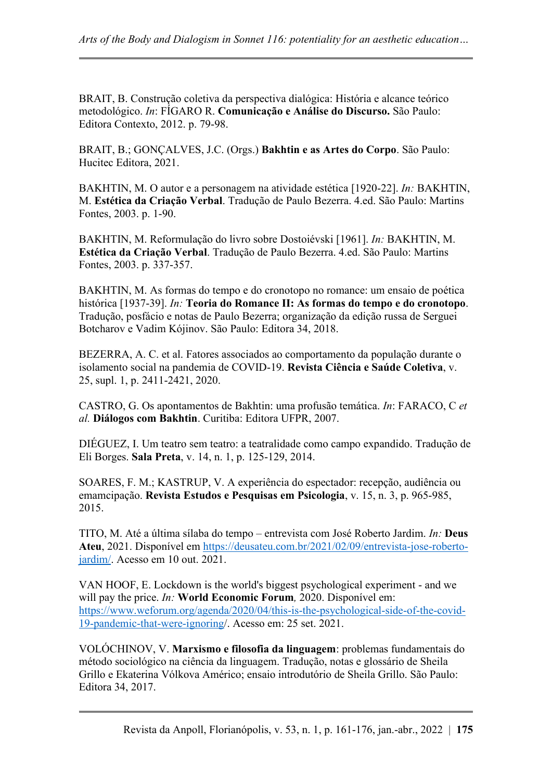BRAIT, B. Construção coletiva da perspectiva dialógica: História e alcance teórico metodológico. *In*: FÍGARO R. **Comunicação e Análise do Discurso.** São Paulo: Editora Contexto, 2012. p. 79-98.

BRAIT, B.; GONÇALVES, J.C. (Orgs.) **Bakhtin e as Artes do Corpo**. São Paulo: Hucitec Editora, 2021.

BAKHTIN, M. O autor e a personagem na atividade estética [1920-22]. *In:* BAKHTIN, M. **Estética da Criação Verbal**. Tradução de Paulo Bezerra. 4.ed. São Paulo: Martins Fontes, 2003. p. 1-90.

BAKHTIN, M. Reformulação do livro sobre Dostoiévski [1961]. *In:* BAKHTIN, M. **Estética da Criação Verbal**. Tradução de Paulo Bezerra. 4.ed. São Paulo: Martins Fontes, 2003. p. 337-357.

BAKHTIN, M. As formas do tempo e do cronotopo no romance: um ensaio de poética histórica [1937-39]. *In:* **Teoria do Romance II: As formas do tempo e do cronotopo**. Tradução, posfácio e notas de Paulo Bezerra; organização da edição russa de Serguei Botcharov e Vadim Kójinov. São Paulo: Editora 34, 2018.

BEZERRA, A. C. et al. Fatores associados ao comportamento da população durante o isolamento social na pandemia de COVID-19. **Revista Ciência e Saúde Coletiva**, v. 25, supl. 1, p. 2411-2421, 2020.

CASTRO, G. Os apontamentos de Bakhtin: uma profusão temática. *In*: FARACO, C *et al.* **Diálogos com Bakhtin**. Curitiba: Editora UFPR, 2007.

DIÉGUEZ, I. Um teatro sem teatro: a teatralidade como campo expandido. Tradução de Eli Borges. **Sala Preta**, v. 14, n. 1, p. 125-129, 2014.

SOARES, F. M.; KASTRUP, V. A experiência do espectador: recepção, audiência ou emamcipação. **Revista Estudos e Pesquisas em Psicologia**, v. 15, n. 3, p. 965-985, 2015.

TITO, M. Até a última sílaba do tempo – entrevista com José Roberto Jardim. *In:* **Deus Ateu**, 2021. Disponível em [https://deusateu.com.br/2021/02/09/entrevista-jose-roberto](https://deusateu.com.br/2021/02/09/entrevista-jose-roberto-jardim/)[jardim/.](https://deusateu.com.br/2021/02/09/entrevista-jose-roberto-jardim/) Acesso em 10 out. 2021.

VAN HOOF, E. Lockdown is the world's biggest psychological experiment - and we will pay the price. *In:* **World Economic Forum***,* 2020. Disponível em: [https://www.weforum.org/agenda/2020/04/this-is-the-psychological-side-of-the-covid-](https://www.weforum.org/agenda/2020/04/this-is-the-psychological-side-of-the-covid-19-pandemic-that-were-ignoring)[19-pandemic-that-were-ignoring/](https://www.weforum.org/agenda/2020/04/this-is-the-psychological-side-of-the-covid-19-pandemic-that-were-ignoring). Acesso em: 25 set. 2021.

VOLÓCHINOV, V. **Marxismo e filosofia da linguagem**: problemas fundamentais do método sociológico na ciência da linguagem. Tradução, notas e glossário de Sheila Grillo e Ekaterina Vólkova Américo; ensaio introdutório de Sheila Grillo. São Paulo: Editora 34, 2017.